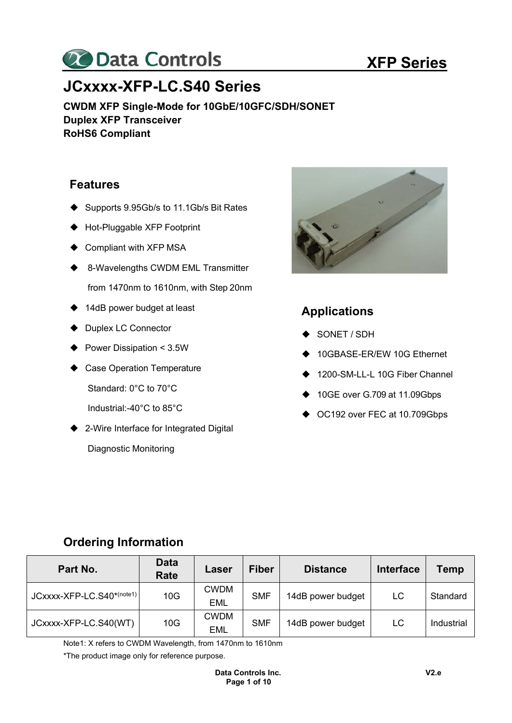

# **JCxxxx-XFP-LC.S40 Series**

**CWDM XFP Single-Mode for 10GbE/10GFC/SDH/SONET Duplex XFP Transceiver RoHS6 Compliant** 

### **Features**

- ◆ Supports 9.95Gb/s to 11.1Gb/s Bit Rates
- ◆ Hot-Pluggable XFP Footprint
- Compliant with XFP MSA
- ♦ 8-Wavelengths CWDM EML Transmitter from 1470nm to 1610nm, with Step 20nm
- ♦ 14dB power budget at least
- ◆ Duplex LC Connector
- ▶ Power Dissipation < 3.5W
- Case Operation Temperature Standard: 0°C to 70°C
	- Industrial:-40°C to 85°C
- ♦ 2-Wire Interface for Integrated Digital Diagnostic Monitoring



### **Applications**

- SONET / SDH
- 10GBASE-ER/EW 10G Ethernet
- ◆ 1200-SM-LL-L 10G Fiber Channel
- ◆ 10GE over G.709 at 11.09Gbps
- ◆ OC192 over FEC at 10.709Gbps

# **Ordering Information**

| Part No.                  | <b>Data</b><br>Rate | Laser                     | <b>Fiber</b> | <b>Distance</b>   | <b>Interface</b> | Temp       |
|---------------------------|---------------------|---------------------------|--------------|-------------------|------------------|------------|
| JCxxxx-XFP-LC.S40*(note1) | 10G                 | <b>CWDM</b><br>EML        | <b>SMF</b>   | 14dB power budget | LC               | Standard   |
| JCxxxx-XFP-LC.S40(WT)     | 10G                 | <b>CWDM</b><br><b>EML</b> | <b>SMF</b>   | 14dB power budget | LC               | Industrial |

Note1: X refers to CWDM Wavelength, from 1470nm to 1610nm

\*The product image only for reference purpose.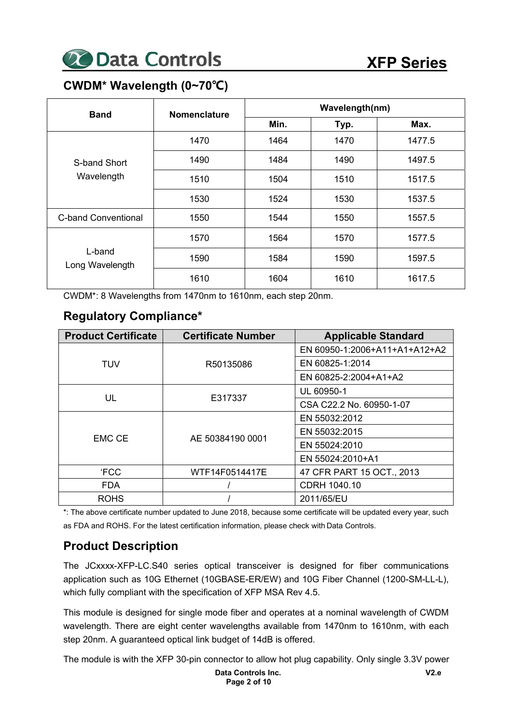

# **CWDM\* Wavelength (0~70℃)**

| <b>Band</b>                | <b>Nomenclature</b> | Wavelength(nm)                                                                                                                                           |      |        |  |  |
|----------------------------|---------------------|----------------------------------------------------------------------------------------------------------------------------------------------------------|------|--------|--|--|
|                            |                     | Min.<br>Typ.<br>Max.<br>1464<br>1470<br>1490<br>1484<br>1504<br>1510<br>1524<br>1530<br>1544<br>1550<br>1564<br>1577.5<br>1570<br>1584<br>1597.5<br>1590 |      |        |  |  |
|                            | 1470                |                                                                                                                                                          |      | 1477.5 |  |  |
| S-band Short<br>Wavelength | 1490                |                                                                                                                                                          |      | 1497.5 |  |  |
|                            | 1510                |                                                                                                                                                          |      | 1517.5 |  |  |
|                            | 1530                |                                                                                                                                                          |      | 1537.5 |  |  |
| <b>C-band Conventional</b> | 1550                |                                                                                                                                                          |      | 1557.5 |  |  |
|                            | 1570                |                                                                                                                                                          |      |        |  |  |
| L-band<br>Long Wavelength  | 1590                |                                                                                                                                                          |      |        |  |  |
|                            | 1610                | 1604                                                                                                                                                     | 1610 | 1617.5 |  |  |

CWDM\*: 8 Wavelengths from 1470nm to 1610nm, each step 20nm.

# **Regulatory Compliance\***

| <b>Product Certificate</b> | <b>Certificate Number</b> | <b>Applicable Standard</b>    |
|----------------------------|---------------------------|-------------------------------|
|                            |                           | EN 60950-1:2006+A11+A1+A12+A2 |
| <b>TUV</b>                 | R50135086                 | EN 60825-1:2014               |
|                            |                           | EN 60825-2:2004+A1+A2         |
|                            |                           | UL 60950-1                    |
| UL                         | E317337                   | CSA C22.2 No. 60950-1-07      |
|                            |                           | EN 55032:2012                 |
| <b>EMC CE</b>              |                           | EN 55032:2015                 |
|                            | AE 50384190 0001          | EN 55024:2010                 |
|                            |                           | EN 55024:2010+A1              |
| <b>FCC</b>                 | WTF14F0514417E            | 47 CFR PART 15 OCT., 2013     |
| <b>FDA</b>                 |                           | CDRH 1040.10                  |
| <b>ROHS</b>                |                           | 2011/65/EU                    |

\*: The above certificate number updated to June 2018, because some certificate will be updated every year, such as FDA and ROHS. For the latest certification information, please check with Data Controls.

# **Product Description**

The JCxxxx-XFP-LC.S40 series optical transceiver is designed for fiber communications application such as 10G Ethernet (10GBASE-ER/EW) and 10G Fiber Channel (1200-SM-LL-L), which fully compliant with the specification of XFP MSA Rev 4.5.

This module is designed for single mode fiber and operates at a nominal wavelength of CWDM wavelength. There are eight center wavelengths available from 1470nm to 1610nm, with each step 20nm. A guaranteed optical link budget of 14dB is offered.

The module is with the XFP 30-pin connector to allow hot plug capability. Only single 3.3V power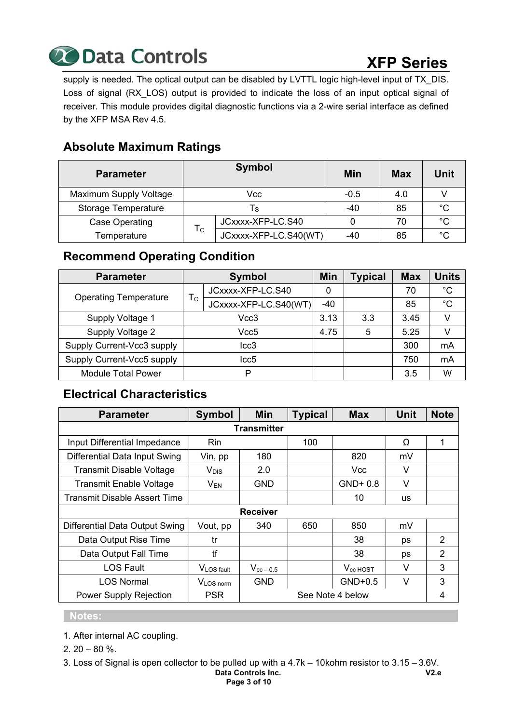

# **XFP Series**

supply is needed. The optical output can be disabled by LVTTL logic high-level input of TX\_DIS. Loss of signal (RX LOS) output is provided to indicate the loss of an input optical signal of receiver. This module provides digital diagnostic functions via a 2-wire serial interface as defined by the XFP MSA Rev 4.5.

# **Absolute Maximum Ratings**

| <b>Parameter</b>           |             | <b>Symbol</b>         | Min    | Max | Unit         |
|----------------------------|-------------|-----------------------|--------|-----|--------------|
| Maximum Supply Voltage     |             | Vcc                   | $-0.5$ | 4.0 |              |
| <b>Storage Temperature</b> |             | l s                   | $-40$  | 85  | °೧           |
| Case Operating             |             | JCxxxx-XFP-LC.S40     |        | 70  | °€           |
| Temperature                | $T_{\rm C}$ | JCxxxx-XFP-LC.S40(WT) | $-40$  | 85  | $^{\circ}$ C |

# **Recommend Operating Condition**

| <b>Parameter</b>             |                           | <b>Symbol</b>         | Min   | <b>Typical</b> | <b>Max</b> | <b>Units</b> |
|------------------------------|---------------------------|-----------------------|-------|----------------|------------|--------------|
| <b>Operating Temperature</b> |                           | JCxxxx-XFP-LC.S40     | 0     |                | 70         | $^{\circ}C$  |
|                              | $\mathsf{T}_{\mathsf{C}}$ | JCxxxx-XFP-LC.S40(WT) | $-40$ |                | 85         | $^{\circ}$ C |
| Supply Voltage 1             | Vcc3                      |                       | 3.13  | 3.3            | 3.45       | v            |
| Supply Voltage 2             |                           | Vcc5                  |       | 5              | 5.25       |              |
| Supply Current-Vcc3 supply   |                           | $_{\text{lcc3}}$      |       |                | 300        | mA           |
| Supply Current-Vcc5 supply   |                           | Icc5                  |       |                | 750        | mA           |
| <b>Module Total Power</b>    |                           | P                     |       |                | 3.5        | W            |

# **Electrical Characteristics**

| <b>Parameter</b>                    | <b>Symbol</b>          | <b>Min</b>         | <b>Typical</b> | <b>Max</b>       | <b>Unit</b> | <b>Note</b>    |
|-------------------------------------|------------------------|--------------------|----------------|------------------|-------------|----------------|
|                                     |                        | <b>Transmitter</b> |                |                  |             |                |
| Input Differential Impedance        | Rin.                   |                    | 100            |                  | Ω           | 1              |
| Differential Data Input Swing       | Vin, pp                | 180                |                | 820              | mV          |                |
| <b>Transmit Disable Voltage</b>     | $V_{DIS}$              | 2.0                |                | <b>Vcc</b>       | V           |                |
| <b>Transmit Enable Voltage</b>      | $V_{EN}$               | <b>GND</b>         |                | $GND+0.8$        | V           |                |
| <b>Transmit Disable Assert Time</b> |                        |                    |                | 10               | us          |                |
|                                     |                        | <b>Receiver</b>    |                |                  |             |                |
| Differential Data Output Swing      | Vout, pp               | 340                | 650            | 850              | mV          |                |
| Data Output Rise Time               | tr                     |                    |                | 38               | ps          | 2              |
| Data Output Fall Time               | tf                     |                    |                | 38               | ps          | $\overline{2}$ |
| <b>LOS Fault</b>                    | V <sub>LOS fault</sub> | $V_{cc-0.5}$       |                | $V_{cc}$ HOST    | V           | 3              |
| <b>LOS Normal</b>                   | V <sub>LOS</sub> norm  | <b>GND</b>         |                | $GND+0.5$        | V           | 3              |
| <b>Power Supply Rejection</b>       | <b>PSR</b>             |                    |                | See Note 4 below |             | 4              |

#### **Notes:**

- 1. After internal AC coupling.
- $2.20 80 \%$ .

**Data Controls Inc. Page 3 of 10 V2.e** 3. Loss of Signal is open collector to be pulled up with a 4.7k – 10kohm resistor to 3.15 – 3.6V.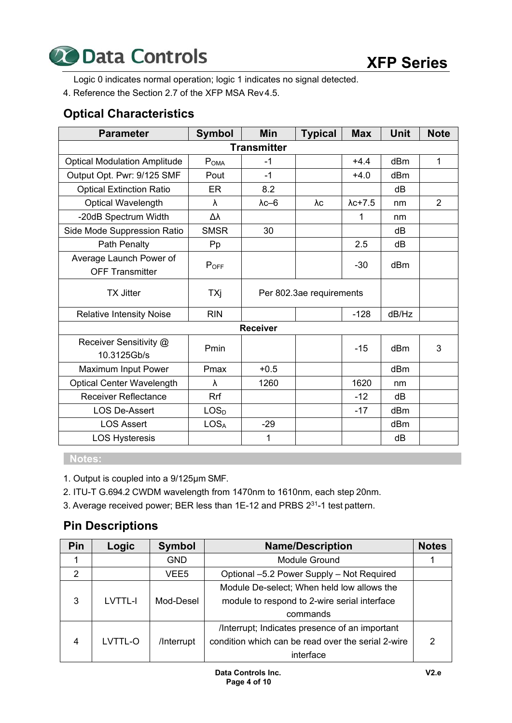

Logic 0 indicates normal operation; logic 1 indicates no signal detected.

4. Reference the Section 2.7 of the XFP MSA Rev 4.5.

# **Optical Characteristics**

| <b>Parameter</b>                                  | <b>Symbol</b>    | Min                      | <b>Typical</b> | <b>Max</b>      | <b>Unit</b> | <b>Note</b>    |
|---------------------------------------------------|------------------|--------------------------|----------------|-----------------|-------------|----------------|
|                                                   |                  | <b>Transmitter</b>       |                |                 |             |                |
| <b>Optical Modulation Amplitude</b>               | POMA             | $-1$                     |                | $+4.4$          | dBm         | 1              |
| Output Opt. Pwr: 9/125 SMF                        | Pout             | $-1$                     |                | $+4.0$          | dBm         |                |
| <b>Optical Extinction Ratio</b>                   | <b>ER</b>        | 8.2                      |                |                 | dB          |                |
| Optical Wavelength                                | λ                | $\lambda$ c $-6$         | λc             | $\lambda$ c+7.5 | nm          | $\overline{2}$ |
| -20dB Spectrum Width                              | Δλ               |                          |                |                 | nm          |                |
| Side Mode Suppression Ratio                       | <b>SMSR</b>      | 30                       |                |                 | dB          |                |
| Path Penalty                                      | Pp               |                          |                | 2.5             | dB          |                |
| Average Launch Power of<br><b>OFF Transmitter</b> | POFF             |                          |                | $-30$           | dBm         |                |
| <b>TX Jitter</b>                                  | TXj              | Per 802.3ae requirements |                |                 |             |                |
| <b>Relative Intensity Noise</b>                   | <b>RIN</b>       | $-128$                   |                | dB/Hz           |             |                |
|                                                   |                  | <b>Receiver</b>          |                |                 |             |                |
| Receiver Sensitivity @<br>10.3125Gb/s             | Pmin             |                          |                | $-15$           | dBm         | 3              |
| Maximum Input Power                               | Pmax             | $+0.5$                   |                |                 | dBm         |                |
| <b>Optical Center Wavelength</b>                  | λ                | 1260                     |                | 1620            | nm          |                |
| <b>Receiver Reflectance</b>                       | Rrf              |                          |                | $-12$           | dB          |                |
| <b>LOS De-Assert</b>                              | LOS <sub>D</sub> |                          |                | $-17$           | dBm         |                |
| <b>LOS Assert</b>                                 | LOS <sub>A</sub> | $-29$                    |                |                 | dBm         |                |
| <b>LOS Hysteresis</b>                             |                  | 1                        |                |                 | dB          |                |

 **Notes:** 

- 1. Output is coupled into a 9/125μm SMF.
- 2. ITU-T G.694.2 CWDM wavelength from 1470nm to 1610nm, each step 20nm.
- 3. Average received power; BER less than 1E-12 and PRBS 231-1 test pattern.

# **Pin Descriptions**

| Pin            | Logic          | <b>Symbol</b> | <b>Name/Description</b>                            | <b>Notes</b> |
|----------------|----------------|---------------|----------------------------------------------------|--------------|
|                |                | <b>GND</b>    | Module Ground                                      |              |
| $\overline{2}$ |                | VEE5          | Optional -5.2 Power Supply - Not Required          |              |
|                |                |               | Module De-select; When held low allows the         |              |
| 3              | <b>LVTTL-I</b> | Mod-Desel     | module to respond to 2-wire serial interface       |              |
|                |                |               | commands                                           |              |
|                |                |               | /Interrupt; Indicates presence of an important     |              |
| 4              | LVTTL-O        | /Interrupt    | condition which can be read over the serial 2-wire | 2            |
|                |                |               | interface                                          |              |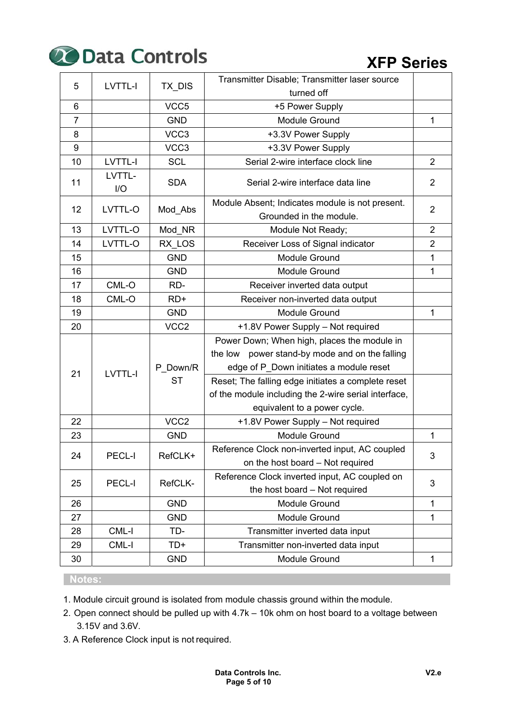

# **XFP Series**

| 5              | LVTTL-I        | TX_DIS           | Transmitter Disable; Transmitter laser source                                      |                |
|----------------|----------------|------------------|------------------------------------------------------------------------------------|----------------|
|                |                |                  | turned off                                                                         |                |
| $6\phantom{1}$ |                | VCC5             | +5 Power Supply                                                                    |                |
| $\overline{7}$ |                | <b>GND</b>       | Module Ground                                                                      | 1              |
| 8              |                | VCC3             | +3.3V Power Supply                                                                 |                |
| $9\,$          |                | VCC3             | +3.3V Power Supply                                                                 |                |
| 10             | LVTTL-I        | <b>SCL</b>       | Serial 2-wire interface clock line                                                 | $\overline{2}$ |
| 11             | LVTTL-<br>I/O  | <b>SDA</b>       | Serial 2-wire interface data line                                                  | $\overline{2}$ |
| 12             | LVTTL-O        | Mod_Abs          | Module Absent; Indicates module is not present.                                    | $\overline{2}$ |
|                |                |                  | Grounded in the module.                                                            |                |
| 13             | LVTTL-O        | Mod_NR           | Module Not Ready;                                                                  | $\overline{2}$ |
| 14             | LVTTL-O        | RX LOS           | Receiver Loss of Signal indicator                                                  | $\overline{2}$ |
| 15             |                | <b>GND</b>       | Module Ground                                                                      | 1              |
| 16             |                | <b>GND</b>       | <b>Module Ground</b>                                                               | $\mathbf{1}$   |
| 17             | CML-O          | RD-              | Receiver inverted data output                                                      |                |
| 18             | CML-O          | $RD+$            | Receiver non-inverted data output                                                  |                |
| 19             |                | <b>GND</b>       | <b>Module Ground</b>                                                               | $\mathbf{1}$   |
| 20             |                | VCC <sub>2</sub> | +1.8V Power Supply - Not required                                                  |                |
|                |                |                  | Power Down; When high, places the module in                                        |                |
|                |                |                  | the low power stand-by mode and on the falling                                     |                |
| 21             | <b>LVTTL-I</b> | P Down/R         | edge of P_Down initiates a module reset                                            |                |
|                |                | <b>ST</b>        | Reset; The falling edge initiates a complete reset                                 |                |
|                |                |                  | of the module including the 2-wire serial interface,                               |                |
|                |                |                  | equivalent to a power cycle.                                                       |                |
| 22             |                | VCC <sub>2</sub> | +1.8V Power Supply - Not required                                                  |                |
| 23             |                | <b>GND</b>       | Module Ground                                                                      | 1              |
| 24             | PECL-I         | RefCLK+          | Reference Clock non-inverted input, AC coupled<br>on the host board - Not required | 3              |
| 25             | PECL-I         | RefCLK-          | Reference Clock inverted input, AC coupled on<br>the host board - Not required     | 3              |
| 26             |                | <b>GND</b>       | Module Ground                                                                      | $\mathbf{1}$   |
| 27             |                | <b>GND</b>       | <b>Module Ground</b>                                                               | 1              |
| 28             | CML-I          | TD-              | Transmitter inverted data input                                                    |                |
| 29             | CML-I          | TD+              | Transmitter non-inverted data input                                                |                |
| 30             |                | <b>GND</b>       | Module Ground                                                                      | 1              |

#### **Notes:**

1. Module circuit ground is isolated from module chassis ground within the module.

- 2. Open connect should be pulled up with 4.7k 10k ohm on host board to a voltage between 3.15V and 3.6V.
- 3. A Reference Clock input is not required.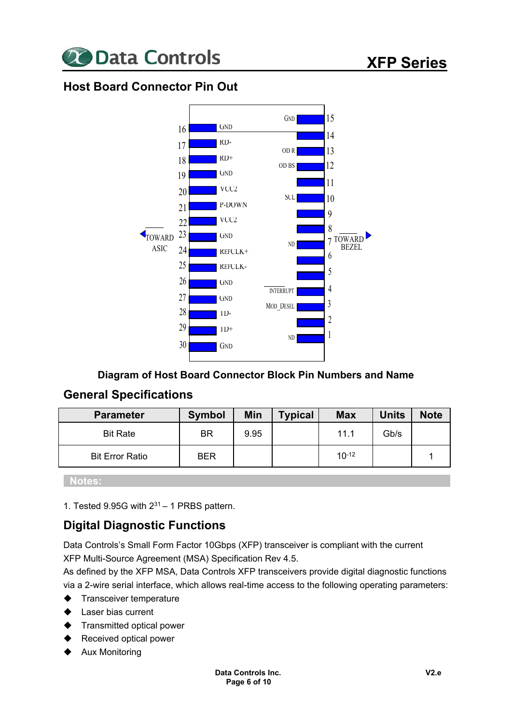

# **Host Board Connector Pin Out**



#### **Diagram of Host Board Connector Block Pin Numbers and Name**

### **General Specifications**

| <b>Parameter</b>       | <b>Symbol</b> | Min  | <b>Typical</b> | <b>Max</b> | <b>Units</b> | <b>Note</b> |
|------------------------|---------------|------|----------------|------------|--------------|-------------|
| <b>Bit Rate</b>        | ΒR            | 9.95 |                | 11.1       | Gb/s         |             |
| <b>Bit Error Ratio</b> | <b>BER</b>    |      |                | $10-12$    |              |             |

 **Notes:** 

1. Tested 9.95G with  $2^{31} - 1$  PRBS pattern.

# **Digital Diagnostic Functions**

Data Controls's Small Form Factor 10Gbps (XFP) transceiver is compliant with the current XFP Multi-Source Agreement (MSA) Specification Rev 4.5.

As defined by the XFP MSA, Data Controls XFP transceivers provide digital diagnostic functions via a 2-wire serial interface, which allows real-time access to the following operating parameters:

- $\blacklozenge$  Transceiver temperature
- Laser bias current
- Transmitted optical power
- Received optical power
- Aux Monitoring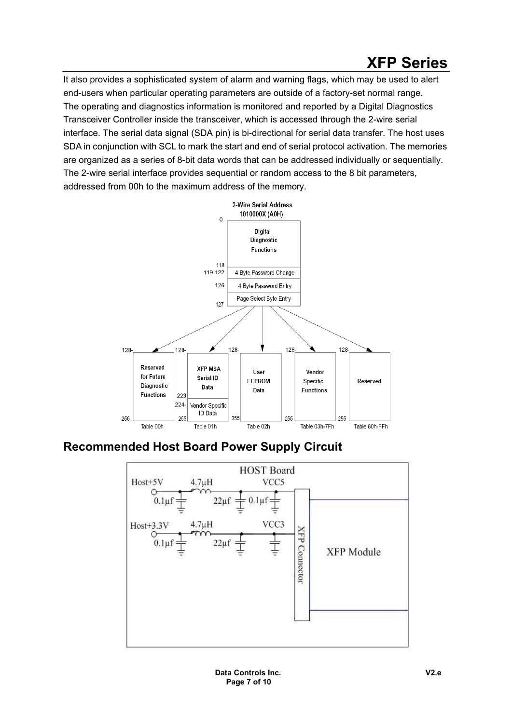It also provides a sophisticated system of alarm and warning flags, which may be used to alert end-users when particular operating parameters are outside of a factory-set normal range. The operating and diagnostics information is monitored and reported by a Digital Diagnostics Transceiver Controller inside the transceiver, which is accessed through the 2-wire serial interface. The serial data signal (SDA pin) is bi-directional for serial data transfer. The host uses SDA in conjunction with SCL to mark the start and end of serial protocol activation. The memories are organized as a series of 8-bit data words that can be addressed individually or sequentially. The 2-wire serial interface provides sequential or random access to the 8 bit parameters, addressed from 00h to the maximum address of the memory.



# **Recommended Host Board Power Supply Circuit**

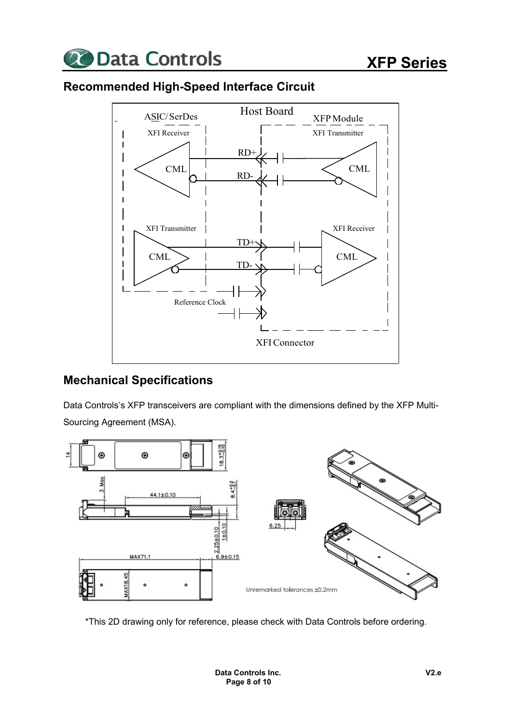



# **Recommended High-Speed Interface Circuit**

# **Mechanical Specifications**

Data Controls's XFP transceivers are compliant with the dimensions defined by the XFP Multi-Sourcing Agreement (MSA).



\*This 2D drawing only for reference, please check with Data Controls before ordering.